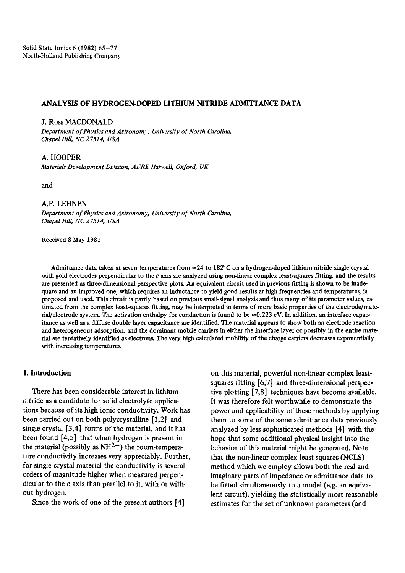## ANALYSIS OF HYDROGEN-DOPED LITHIUM NITRIDE ADMITTANCE DATA

J. Ross MACDONALD *Department of Physics and Astronomy, University of North Carolina, Chapel Hill, NC 27514, USA* 

A. HOOPER *Materials Development Division, AERE Harwell, Oxford, UK* 

and

#### A.P. LEHNEN

*Department of Physics and Astronorny, University of North Carolina, Chapel Hill, NC 27514, USA* 

Received 8 May 1981

Admittance data taken at seven temperatures from  $\approx$  24 to 182°C on a hydrogen-doped lithium nitride single crystal with gold electrodes perpendicular to the  $c$  axis are analyzed using non-linear complex least-squares fitting, and the results are presented as three-dimensional perspective plots. An equivalent circuit used in previous fitting is shown to be inadequate and an improved one, which requires an inductance to yield good results at high frequencies and temperatures, is proposed and used. This circuit is partly based on previous small-signal analysis and thus many of its parameter values, estimated from the complex least-squares fitting, may be interpreted in terms of more basic properties of the electrode/material/electrode system. The activation enthalpy for conduction is found to be  $\approx 0.223$  eV. In addition, an interface capacitance as well as a diffuse double layer capacitance are identified. The material appears to show both an electrode reaction and heterogeneous adsorption, and the dominant mobile carriers in either the interface layer or possibly in the entire material are tentatively identified as electrons. The very high calculated mobility of the charge carriers decreases exponentially with increasing temperatures.

### **1. Introduction**

There has been considerable interest in lithium nitride as a candidate for solid electrolyte applications because of its high ionic conductivity. Work has been carried out on both polycrystalline [1,2] and single crystal [3,4] forms of the material, and it has been found [4,5] that when hydrogen is present in the material (possibly as  $NH^{2-}$ ) the room-temperature conductivity increases very appreciably. Further, for single crystal material the conductivity is several orders of magnitude higher when measured perpendicular to the  $c$  axis than parallel to it, with or without hydrogen.

Since the work of one of the present authors [4]

on this material, powerful non-linear complex leastsquares fitting [6,7] and three-dimensional perspective plotting [7,8] techniques have become available. It was therefore felt worthwhile to demonstrate the power and applicability of these methods by applying them to some of the same admittance data previously analyzed by less sophisticated methods [4] with the hope that some additional physical insight into the behavior of this material might be generated. Note that the non-linear complex least-squares (NCLS) method which we employ allows both the real and imaginary parts of impedance or admittance data to be fitted simultaneously to a model (e.g. an equivalent circuit), yielding the statistically most reasonable estimates for the set of unknown parameters (and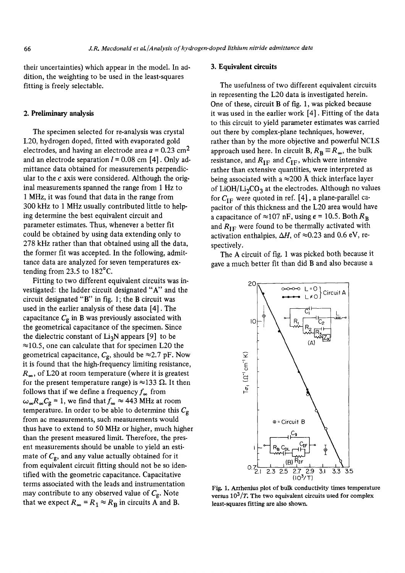their uncertainties) which appear in the model. In addition, the weighting to be used in the least-squares fitting is freely selectable.

# 2. Preliminary analysis

The specimen selected for re-analysis was crystal L20, hydrogen doped, fitted with evaporated gold electrodes, and having an electrode area  $a = 0.23$  cm<sup>2</sup> and an electrode separation  $l = 0.08$  cm [4]. Only admittance data obtained for measurements perpendicular to the  $c$  axis were considered. Although the original measurements spanned the range from 1 Hz to 1 MHz, it was found that data in the range from 300 kHz to i MHz usually contributed little to helping determine the best equivalent circuit and parameter estimates. Thus, whenever a better fit could be obtained by using data extending only to 278 kHz rather than that obtained using all the data, the former fit was accepted. In the following, admittance data are analyzed for seven temperatures extending from 23.5 to 182°C.

Fitting to two different equivalent circuits was investigated: the ladder circuit designated "A" and the circuit designated "B" in fig. 1; the B circuit was used in the earlier analysis of these data [4]. The capacitance  $C_g$  in B was previously associated with the geometrical capacitance of the specimen. Since the dielectric constant of  $Li<sub>3</sub>N$  appears [9] to be  $\approx$ 10.5, one can calculate that for specimen L20 the geometrical capacitance,  $C_g$ , should be  $\approx$  2.7 pF. Now it is found that the high-frequency limiting resistance,  $R_{\infty}$ , of L20 at room temperature (where it is greatest for the present temperature range) is  $\approx$ 133  $\Omega$ . It then follows that if we define a frequency  $f_{\infty}$  from  $\omega_{\infty}R_{\infty}C_{g}$  = 1, we find that  $f_{\infty} \approx 443$  MHz at room temperature. In order to be able to determine this  $C_{\rm g}$ from ac measurements, such measurements would thus have to extend to 50 MHz or higher, much higher than the present measured limit. Therefore, the present measurements should be unable to yield an estimate of  $C_g$ , and any value actually obtained for it from equivalent circuit fitting should not be so identified with the geometric capacitance. Capacitative terms associated with the leads and instrumentation may contribute to any observed value of  $C_g$ . Note that we expect  $R_{\infty} = R_1 \approx R_B$  in circuits A and B.

#### 3. Equivalent circuits

The usefulness of two different equivalent circuits in representing the L20 data is investigated herein. One of these, circuit B of fig. 1, was picked because it was used in the earlier work [4]. Fitting of the data to this circuit to yield parameter estimates was carried out there by complex-plane techniques, however, rather than by the more objective and powerful NCLS approach used here. In circuit B,  $R_B = R_{\infty}$ , the bulk resistance, and  $R_{IF}$  and  $C_{IF}$ , which were intensive rather than extensive quantities, were interpreted as being associated with a  $\approx$ 200 Å thick interface layer of LiOH/Li<sub>2</sub>CO<sub>3</sub> at the electrodes. Although no values for  $C_{IF}$  were quoted in ref. [4], a plane-parallel capacitor of this thickness and the L20 area would have a capacitance of  $\approx$ 107 nF, using  $\epsilon$  = 10.5. Both  $R_B$ and  $R_{IF}$  were found to be thermally activated with activation enthalpies,  $\Delta H$ , of  $\approx 0.23$  and 0.6 eV, respectively.

The A circuit of fig. 1 was picked both because it gave a much better fit than did B and also because a



Fig. 1. Axrhenius plot of bulk conductivity times temperature versus  $10^3/T$ . The two equivalent circuits used for complex least-squares fitting are also shown.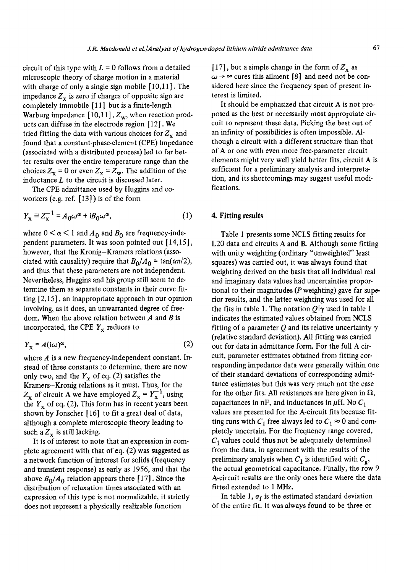circuit of this type with  $L = 0$  follows from a detailed microscopic theory of charge motion in a material with charge of only a single sign mobile [10,11]. The impedance  $Z_x$  is zero if charges of opposite sign are completely immobile [ 11 ] but is a finite-length Warburg impedance  $[10,11]$ ,  $Z_w$ , when reaction products can diffuse in the electrode region [12]. We tried fitting the data with various choices for  $Z_x$  and found that a constant-phase-element (CPE) impedance (associated with a distributed process) led to far better results over the entire temperature range than the choices  $Z_{\rm x}$  = 0 or even  $Z_{\rm x}$  =  $Z_{\rm w}$ . The addition of the inductance  $L$  to the circuit is discussed later.

The CPE admittance used by Huggins and coworkers (e.g. ref. [13]) is of the form

$$
Y_{\mathbf{x}} \equiv Z_{\mathbf{x}}^{-1} = A_0 \omega^{\alpha} + i B_0 \omega^{\alpha}, \tag{1}
$$

where  $0 < \alpha < 1$  and  $A_0$  and  $B_0$  are frequency-independent parameters. It was soon pointed out [14,15], however, that the Kronig-Kramers relations (associated with causality) require that  $B_0/A_0 = \tan(\alpha \pi/2)$ , and thus that these parameters are not independent. Nevertheless, Huggins and his group still seem to determine them as separate constants in their curve fitting [2,15], an inappropriate approach in our opinion involving, as it does, an unwarranted degree of freedom. When the above relation between  $A$  and  $B$  is incorporated, the CPE  $Y_x$  reduces to

$$
Y_{\mathbf{x}} = A(i\omega)^{\alpha},\tag{2}
$$

where  $A$  is a new frequency-independent constant. Instead of three constants to determine, there are now only two, and the  $Y_x$  of eq. (2) satisfies the Kramers-Kronig relations as it must. Thus, for the  $Z_{\rm x}$  of circuit A we have employed  $Z_{\rm x} = Y_{\rm x}^{-1}$ , using the  $Y_x$  of eq. (2). This form has in recent years been shown by Jonscher [16] to fit a great deal of data, although a complete microscopic theory leading to such a  $Z_x$  is still lacking.

It is of interest to note that an expression in complete agreement with that of eq. (2) was suggested as a network function of interest for solids (frequency and transient response) as early as 1956, and that the above  $B_0/A_0$  relation appears there [17]. Since the distribution of relaxation times associated with an expression of this type is not normalizable, it strictly does not represent a physically realizable function

[17], but a simple change in the form of  $Z_x$  as  $\omega \rightarrow \infty$  cures this ailment [8] and need not be considered here since the frequency span of present interest is limited.

It should be emphasized that circuit A is not proposed as the best or necessarily most appropriate circuit to represent these data. Picking the best out of an infinity of possibilities is often impossible. Although a circuit with a different structure than that of A or one with even more free-parameter circuit elements might very well yield better fits, circuit A is sufficient for a preliminary analysis and interpretation, and its shortcomings may suggest useful modifications.

# **4. Fitting results**

Table 1 presents some NCLS fitting results for L20 data and circuits A and B. Although some fitting with unity weighting (ordinary "unweighted" least squares) was carried out, it was always found that weighting derived on the basis that all individual real and imaginary data values had uncertainties proportional to their magnitudes ( $P$  weighting) gave far superior results, and the latter weighting was used for all the fits in table 1. The notation  $Q|\gamma$  used in table 1 indicates the estimated values obtained from NCLS fitting of a parameter O and its relative uncertainty  $\gamma$ (relative standard deviation). All fitting was carried out for data in admittance form. For the full A circuit, parameter estimates obtained from fitting corresponding impedance data were generally within one of their standard deviations of corresponding admittance estimates but this was very much not the case for the other fits. All resistances are here given in  $\Omega$ , capacitances in nF, and inductances in  $\mu$ H. No  $C_1$ values are presented for the A-circuit fits because fitting runs with  $C_1$  free always led to  $C_1 \approx 0$  and completely uncertain. For the frequency range covered,  $C_1$  values could thus not be adequately determined from the data, in agreement with the results of the preliminary analysis when  $C_1$  is identified with  $C_{\varphi}$ , the actual geometrical capacitance. Finally, the row 9 A-circuit results are the only ones here where the data fitted extended to 1 MHz.

In table 1,  $\sigma_f$  is the estimated standard deviation Of the entire fit. It was always found to be three or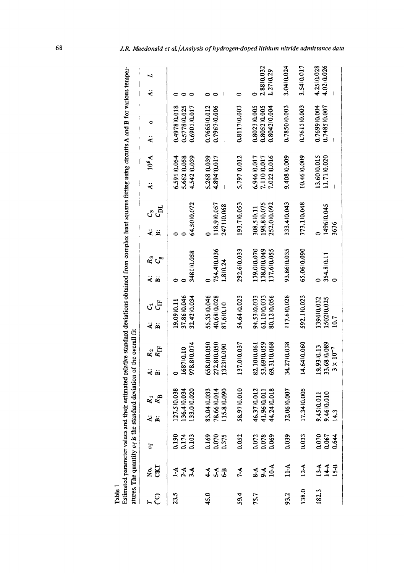|       |                    | atures. The quantity o <sub>f</sub> is the standard deviation of the overall fit |       |                                           |                                                 |                             |                                           |    |                                           |      |                                          |     |                                           |          |                                              |                          |
|-------|--------------------|----------------------------------------------------------------------------------|-------|-------------------------------------------|-------------------------------------------------|-----------------------------|-------------------------------------------|----|-------------------------------------------|------|------------------------------------------|-----|-------------------------------------------|----------|----------------------------------------------|--------------------------|
| ೯೮    | <b>RG.</b>         | σf                                                                               | یخ نخ | $R_{\rm B}$<br>ຊ                          | ä<br>ä                                          | $\frac{R_2}{R_{\text{IF}}}$ | ë                                         | GF | $\ddot{\bm{z}}$                           | ಸ್ತೆ | ä                                        | ය ස | $\ddot{a}$                                | $10^6$ A | ð<br>ä                                       | ⊣<br>$\ddot{\mathbf{z}}$ |
| 23.5  | 444                | 0.190<br>0.174<br>0.103                                                          |       | 127.510.038<br>136.410.034<br>133.010.020 | 978.810.074<br>168710.10                        |                             | 37.8610.046<br>32.4210.034<br>19,0910.11  |    | 348110.058                                |      | 64.5010.072                              |     | 6.59110.054<br>5.66210.058<br>4.54210.039 |          | 0.497810.018<br>0.577810.025<br>0.690110.017 |                          |
| 45.0  | $444$<br>$64$      | 0.169<br>0.070<br>0.375                                                          |       | 83.0410.033<br>78.6610.014<br>115.810.090 | 658.010.050<br>272.810.050<br>132310.090        |                             | 55.3510.046<br>40,6810.028<br>87.610.10   |    | 754.410.036<br>1.810.24                   |      | 118,910,057<br>247110.068                |     | 5.26810.039<br>4.89410.017                |          | 0.766510.012<br>0.796710.006                 |                          |
| 59.4  | $7-A$              | 0.052                                                                            |       | 58.9710.010                               | 137.010.037                                     |                             | 54.6410.023                               |    | 292.610.033                               |      | 193.710.053                              |     | 5.79710.012                               |          | 0.811710.003                                 | 0                        |
| 75.7  | 8-A<br>9-A<br>10-A | 0.072<br>0.078<br>0.069                                                          |       | 46.3710.012<br>41.9610.011<br>44.2410.018 | 53.6910.059<br>69.3110.068<br>82.1010.061       |                             | 94.5310.033<br>61.1010.033<br>80.1210.056 |    | 139.010.070<br>138.010.049<br>137.610.055 |      | 198.810.075<br>252.010.092<br>308.510.11 |     | 6.94610.017<br>7.11010.017<br>7.02210.016 |          | 0.802310.005<br>0.805210.005<br>0.804210.004 | 2.8810.032<br>1.27 10.29 |
| 93.2  | $11-A$             | 0.039                                                                            |       | 32.0610.007                               | 34.2710.038                                     |                             | 117.610.028                               |    | 93,8610,035                               |      | 333.410.043                              |     | 9.40810.009                               |          | 0.785010.003                                 | 3.0410.024               |
| 138.0 | $12-A$             | 0.033                                                                            | 17.   | 3410.005                                  | 14,6410.060                                     |                             | 592.110.023                               |    | 65.0610.090                               |      | 773.110.048                              |     | 10.4610.009                               |          | 0.761310.003                                 | 3.5410.017               |
| 182.3 | $134$<br>$158$     | 0.070<br>0.067<br>0.644                                                          |       | 9.4510.011<br>9.4610.010<br>14.3          | 33,6810.089<br>19,9310.13<br>$3 \times 10^{-7}$ |                             | 139410.032<br>150210.025<br>10.7          |    | 354.810.11                                |      | 149610.045<br>3636                       |     | 13.6010.015<br>11.71 0.020                |          | 0.769910.004<br>0.748510.007                 | 4.2510.028<br>4.0210.026 |

 $\triangleleft$ *0* 

J.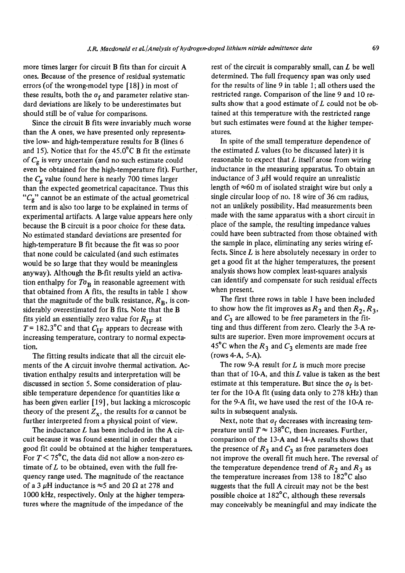more times larger for circuit B fits than for circuit A ones. Because of the presence of residual systematic errors (of the wrong-model type [18] ) in most of these results, both the  $\sigma_f$  and parameter relative standard deviations are likely to be underestimates but should still be of value for comparisons.

Since the circuit B fits were invariably much worse than the A ones, we have presented only representative low- and high-temperature results for B (lines 6 and 15). Notice that for the  $45.0^{\circ}$ C B fit the estimate of  $C_{\rm g}$  is very uncertain (and no such estimate could even be obtained for the high-temperature fit). Further, the  $C_g$  value found here is nearly 700 times larger than the expected geometrical capacitance. Thus this " $C_g$ " cannot be an estimate of the actual geometrical term and is also too large to be explained in terms of experimental artifacts. A large value appears here only because the B circuit is a poor choice for these data. No estimated standard deviations are presented for high-temperature B fit because the fit was so poor that none could be calculated (and such estimates would be so large that they would be meaningless anyway). Although the B-fit results yield an activation enthalpy for  $T\sigma_B$  in reasonable agreement with that obtained from A fits, the results in table 1 show that the magnitude of the bulk resistance,  $R_B$ , is considerably overestimated for B fits. Note that the B fits yield an essentially zero value for  $R_{IF}$  at  $T = 182.3$ °C and that  $C_{IF}$  appears to decrease with increasing temperature, contrary to normal expectation.

The fitting results indicate that all the circuit elements of the A circuit involve thermal activation. Activation enthalpy results and interpretation will be discussed in section 5. Some consideration of plausible temperature dependence for quantities like  $\alpha$ has been given earlier [19], but lacking a microscopic theory of the present  $Z_x$ , the results for  $\alpha$  cannot be further interpreted from a physical point of view.

The inductance  $L$  has been included in the  $A$  circuit because it was found essential in order that a good fit could be obtained at the higher temperatures. For  $T \le 75^{\circ}$ C, the data did not allow a non-zero estimate of  $L$  to be obtained, even with the full frequency range used. The magnitude of the reactance of a 3  $\mu$ H inductance is  $\approx$ 5 and 20  $\Omega$  at 278 and 1000 kHz, respectively. Only at the higher temperatures where the magnitude of the impedance of the

rest of the circuit is comparably small, can  $L$  be well determined. The full frequency span was only used for the results of line 9 in table 1 ; all others used the restricted range. Comparison of the line 9 and 10 results show that a good estimate of  $L$  could not be obtained at this temperature with the restricted range but such estimates were found at the higher temperatures.

In spite of the small temperature dependence of the estimated  $L$  values (to be discussed later) it is reasonable to expect that  $L$  itself arose from wiring inductance in the measuring apparatus. To obtain an inductance of  $3 \mu$ H would require an unrealistic length of  $\approx 60$  m of isolated straight wire but only a single circular loop of no. 18 wire of 36 cm radius, not an unlikely possibility. Had measurements been made with the same apparatus with a short circuit in place of the sample, the resulting impedance values could have been subtracted from those obtained with the sample in place, eliminating any series wiring effects. Since  $L$  is here absolutely necessary in order to get a good fit at the higher temperatures, the present analysis shows how complex least-squares analysis can identify and compensate for such residual effects when present.

The first three rows in table 1 have been included to show how the fit improves as  $R_2$  and then  $R_2, R_3$ , and  $C_3$  are allowed to be free parameters in the fitting and thus different from zero. Clearly the 3-A results are superior. Even more improvement occurs at 45<sup>°</sup>C when the  $R_3$  and  $C_3$  elements are made free (rows 4-A, 5-A).

The row 9-A result for  $L$  is much more precise than that of  $10-A$ , and this  $L$  value is taken as the best estimate at this temperature. But since the  $\sigma_f$  is better for the 10-A fit (using data only to 278 kHz) than for the 9-A fit, we have used the rest of the 10-A results in subsequent analysis.

Next, note that  $\sigma_f$  decreases with increasing temperature until  $T \approx 138^{\circ}$ C, then increases. Further, comparison of the 13-A and 14-A results shows that the presence of  $R_3$  and  $C_3$  as free parameters does not improve the overall fit much here. The reversal of the temperature dependence trend of  $R_2$  and  $R_3$  as the temperature increases from 138 to 182°C also suggests that the full A circuit may not be the best possible choice at  $182^{\circ}$ C, although these reversals may conceivably be meaningful and may indicate the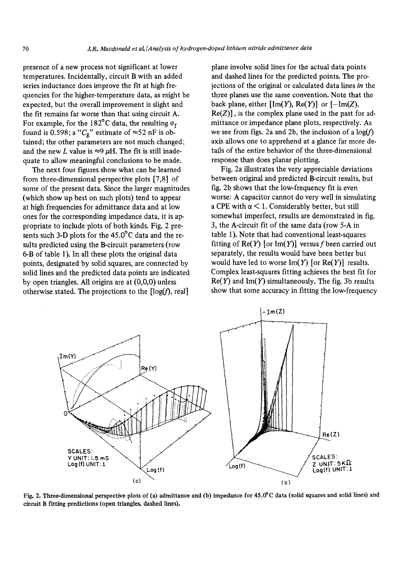presence of a new process not significant at lower temperatures. Incidentally, circuit B with an added series inductance does improve the fit at high frequencies for the higher-temperature data, as might be expected, but the overall improvement is slight and the fit remains far worse than that using circuit A. For example, for the 182°C data, the resulting  $\sigma_f$ found is 0.598; a " $C_g$ " estimate of  $\approx$ 52 nF is obtained; the other parameters are not much changed; and the new L value is  $\approx$ 9  $\mu$ H. The fit is still inadequate to allow meaningful conclusions to be made.

The next four figures show what can be learned from three-dimensional perspective plots [7,8] of some of the present data. Since the larger magnitudes (which show up best on such plots) tend to appear at high frequencies for admittance data and at low ones for the Corresponding impedance data, it is appropriate to include plots of both kinds. Fig. 2 presents such 3-D plots for the  $45.0^{\circ}$ C data and the resuits predicted using the B-circuit parameters (row 6-B of table 1). In all these plots the original data points, designated by solid squares, are connected by solid lines and the predicted data points are indicated by open triangles. All origins are at (0,0,0) unless otherwise stated. The projections to the  $[log(f), real]$ 

plane involve solid lines for the actual data points and dashed lines for the predicted points. The projections of the original or calculated data lines *in* the three planes use the same convention. Note that the back plane, either  $[\text{Im}(Y), \text{Re}(Y)]$  or  $[-\text{Im}(Z),$  $Re(Z)$ ], is the complex plane used in the past for admittance or impedance plane plots, respectively. As we see from figs. 2a and 2b, the inclusion of a  $log(f)$ axis allows one to apprehend at a glance far more details of the entire behavior of the three-dimensional response than does planar plotting.

Fig. 2a illustrates the very appreciable deviations between original and predicted B-circuit results, but fig. 2b shows that the low-frequency fit is even worse: A capacitor cannot do very well in simulating a CPE with  $\alpha$  < 1. Considerably better, but still somewhat imperfect, results are demonstrated in fig. 3, the A-circuit fit of the same data (row 5-A in table 1). Note that had conventional least-squares fitting of  $\text{Re}(Y)$  [or Im(Y)] versus f been carried out separately, the results would have been better but would have led to worse  $Im(Y)$  [or  $Re(Y)$ ] results. Complex least-squares fitting achieves the best fit for  $Re(Y)$  and Im(Y) simultaneously. The fig. 3b results show that some accuracy in fitting the low-frequency



Fig. 2. Tttree-dimensional perspective plots of (a) admittance and (b) impedance for 45.0"C data (solid squares and solid lines) and eircuit B fitting predictions (open triangles, dashed lines).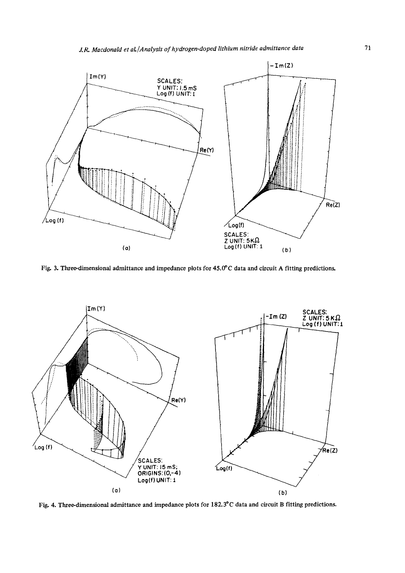

Fig. 3. Three-dimensional admittance and impedance plots for 45.0°C data and circuit A fitting predictions.



Fig. 4. Three-dimensional admittance and impedance plots for 182.3°C data and circuit B fitting predictions.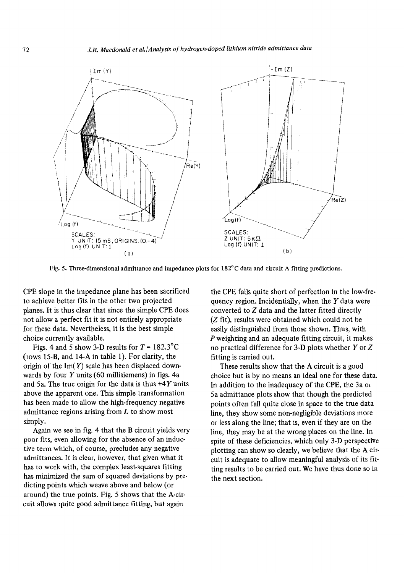

Fig. 5. Three-dimensional admittance and impedance plots for 182°C data and circuit A fitting predictions.

CPE slope in the impedance plane has been sacrificed to achieve better fits in the other two projected planes. It is thus clear that since the simple CPE does not allow a perfect fit it is not entirely appropriate for these data. Nevertheless, it is the best simple choice currently available.

Figs. 4 and 5 show 3-D results for  $T = 182.3^{\circ}$ C (rows 15-B, and 14-A in table 1). For clarity, the origin of the  $Im(Y)$  scale has been displaced downwards by four  $Y$  units (60 millisiemens) in figs. 4a and 5a. The true origin for the data is thus  $+4Y$  units above the apparent one. This simple transformation has been made to allow the high-frequency negative admittance regions arising from  $L$  to show most simply.

Again we see in fig. 4 that the B circuit yields very poor fits, even allowing for the absence of an inductive term which, of course, precludes any negative admittances. It is clear, however, that given what it has to work with, the complex least-squares fitting has minimized the sum of squared deviations by predicting points which weave above and below (or around) the true points. Fig. 5 shows that the A-circuit allows quite good admittance fitting, but again

the CPE fails quite short of perfection in the low-frequency region. Incidentially, when the  $Y$  data were converted to Z data and the latter fitted directly (Z fit), results were obtained which could not be easily distinguished from those shown. Thus, with P weighting and an adequate fitting circuit, it makes no practical difference for 3-D plots whether Y or Z fitting is carried out.

These results show that the A circuit is a good choice but is by no means an ideal one for these data. In addition to the inadequacy of the CPE, the  $3a$  or 5a admittance plots show that though the predicted points often fall quite close in space to the true data line, they show some non-negligible deviations more or less along the line; that is, even if they are on the line, they may be at the wrong places on the line. In spite of these deficiencies, which only 3-D perspective plotting can show so clearly, we believe that the A circuit is adequate to allow meaningful analysis of its fitting results to be carried out. We have thus done so in the next section.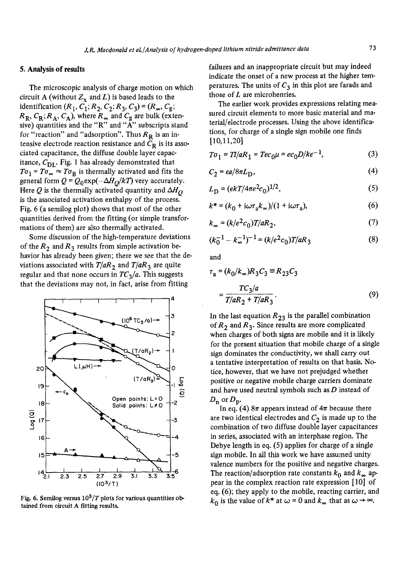# 5. Analysis of results

The microscopic analysis of charge motion on which circuit A (without  $Z_x$  and L) is based leads to the identification  $(R_1, C_1; R_2, C_2; R_3, C_3) = (R_{\infty}, C_{\frac{1}{2}};$  $R_{\rm R}$ ,  $C_{\rm R}$ ;  $R_{\rm A}$ ,  $C_{\rm A}$ ), where  $R_{\infty}$  and  $C_{\rm g}$  are bulk (extensive) quantities and the "R" and "A" subscripts stand for "reaction" and "adsorption". Thus  $R<sub>R</sub>$  is an intensive electrode reaction resistance and  $C_R$  is its associated capacitance, the diffuse double layer capacitance,  $C_{\text{DL}}$ . Fig. 1 has already demonstrated that  $T\sigma_1 = T\sigma_\infty \approx T\sigma_B$  is thermally activated and fits the general form  $Q = Q_0 \exp(-\Delta H_O/kT)$  very accurately. Here Q is the thermally activated quantity and  $\Delta H_{\Omega}$ is the associated activation enthalpy of the process. Fig. 6 (a semilog plot) shows that most of the other quantities derived from the fitting (or simple transformations of them) are also thermally activated.

Some discussion of the high-temperature deviations of the  $R_2$  and  $R_3$  results from simple activation behavior has already been given; there we see that the deviations associated with  $T/aR_2$  and  $T/aR_3$  are quite regular and that none occurs in  $TC_3/a$ . This suggests that the deviations may not, in fact, arise from fitting



Fig. 6. Semilog versus  $10^3/T$  plots for various quantities obtained from circuit A fitting results.

failures and an inappropriate circuit but may indeed indicate the onset of a new process at the higher temperatures. The units of  $C_3$  in this plot are farads and those of  $L$  are microhenries.

The earlier work provides expressions relating measured circuit elements to more basic material and material/electrode processes. Using the above identifications, for charge of a single sign mobile one finds [10,11,20]

$$
T\sigma_1 = Tl/aR_1 = Tec_0\mu = ec_0D/ke^{-1},
$$
 (3)

$$
C_2 = \epsilon a / 8\pi L_{\rm D},\tag{4}
$$

$$
L_{\rm D} = (\epsilon k T / 4\pi e^2 c_0)^{1/2},\qquad(5)
$$

$$
k^* = (k_0 + i\omega\tau_a k_\infty)/(1 + i\omega\tau_a),\tag{6}
$$

$$
k_{\infty} = (k/e^2 c_0) T/aR_2, \tag{7}
$$

$$
(k_0^{-1} - k_{\infty}^{-1})^{-1} = (k/e^2 c_0) T/aR_3
$$
 (8)

and

$$
\tau_{a} = (k_{0}/k_{\infty})R_{3}C_{3} \equiv R_{23}C_{3}
$$

$$
= \frac{TC_{3}/a}{T/aR_{2} + T/aR_{3}}.
$$
(9)

In the last equation  $R_{23}$  is the parallel combination of  $R_2$  and  $R_3$ . Since results are more complicated when charges of both signs are mobile and it is likely for the present situation that mobile charge of a single sign dominates the conductivity, we shall carry out a tentative interpretation of results on that basis. Notice, however, that we have not prejudged whether positive or negative mobile charge carriers dominate and have used neutral symbols such as  $D$  instead of  $D_{\rm p}$  or  $D_{\rm p}$ .

In eq. (4)  $8\pi$  appears instead of  $4\pi$  because there are two identical electrodes and  $C_2$  is made up to the combination of two diffuse double layer capacitances in series, associated with an interphase region. The Debye length in eq. (5) applies for charge of a single sign mobile. In all this work we have assumed unity valence numbers for the positive and negative charges. The reaction/adsorption rate constants  $k_0$  and  $k_{\infty}$  appear in the complex reaction rate expression [10] of eq. (6); they apply to the mobile, reacting carrier, and  $k_0$  is the value of  $k^*$  at  $\omega = 0$  and  $k_{\infty}$  that as  $\omega \rightarrow \infty$ .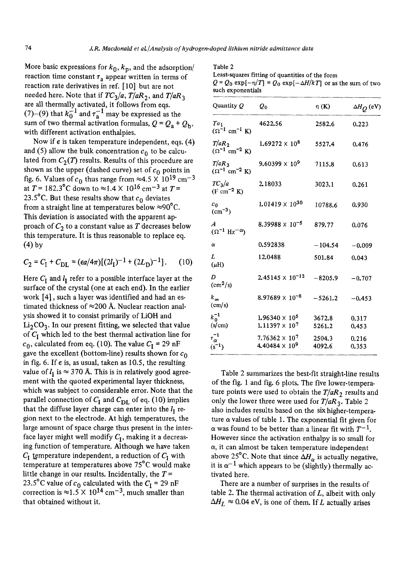More basic expressions for  $k_0, k_p$ , and the adsorption/ reaction time constant  $\tau_a$  appear written in terms of reaction rate derivatives in ref. [10] but are not needed here. Note that if  $TC_3/a$ ,  $T/aR_2$ , and  $T/aR_3$ are all thermally activated, it follows from eqs.  $(7)-(9)$  that  $k_0^{-1}$  and  $\tau_a^{-1}$  may be expressed as the sum of two thermal activation formulas,  $Q = Q_a + Q_b$ , with different activation enthalpies.

Now if  $\epsilon$  is taken temperature independent, eqs. (4) and (5) allow the bulk concentration  $c_0$  to be calculated from  $C_2(T)$  results. Results of this procedure are shown as the upper (dashed curve) set of  $c_0$  points in fig. 6. Values of  $c_0$  thus range from  $\approx$ 4.5  $\times$  10<sup>19</sup> cm<sup>-3</sup> at  $T = 182.3$ °C down to  $\approx 1.4 \times 10^{16}$  cm<sup>-3</sup> at  $T =$ 23.5°C. But these results show that  $c_0$  deviates from a straight line at temperatures below  $\approx 90^{\circ}$ C. This deviation is associated with the apparent approach of  $C_2$  to a constant value as T decreases below this temperature. It is thus reasonable to replace eq. (4) by

$$
C_2 = C_I + C_{\text{DL}} = (ea/4\pi)[(2l_I)^{-1} + (2L_D)^{-1}].
$$
 (10)

Here  $C_I$  and  $l_I$  refer to a possible interface layer at the surface of the crystal (one at each end). In the earlier work [4], such a layer was identified and had an estimated thickness of  $\approx$  200 Å. Nuclear reaction analysis showed it to consist primarily of LiOH and  $Li<sub>2</sub>CO<sub>3</sub>$ . In our present fitting, we selected that value of  $C_I$  which led to the best thermal activation line for  $c_0$ , calculated from eq. (10). The value  $C_I = 29$  nF gave the excellent (bottom-line) results shown for  $c_0$ in fig. 6. If  $\epsilon$  is, as usual, taken as 10.5, the resulting value of  $l_{\rm I}$  is  $\approx$  370 Å. This is in relatively good agreement with the quoted experimental layer thickness, which was subject to considerable error. Note that the parallel connection of  $C_I$  and  $C_{\text{DL}}$  of eq. (10) implies that the diffuse layer charge can enter into the  $l_1$  region next to the electrode. At high temperatures, the large amount of space charge thus present in the interface layer might well modify  $C_I$ , making it a decreasing function of temperature. Although we have taken  $C_I$  temperature independent, a reduction of  $C_I$  with temperature at temperatures above 75°C would make little change in our results. Incidentally, the  $T =$ 23.5°C value of  $c_0$  calculated with the  $C_I = 29$  nF correction is  $\approx 1.5 \times 10^{14}$  cm<sup>-3</sup>, much smaller than that obtained without it.

Least-squares fitting of quantities of the form  $Q = Q_0 \exp[-\eta/T] = Q_0 \exp[-\Delta H/kT]$  or as the sum of two such exponentials

| Quantity Q                                               | Q0                                                          | $\eta$ (K)       | $\Delta H_{Q}$ (eV) |
|----------------------------------------------------------|-------------------------------------------------------------|------------------|---------------------|
| $T\sigma_1$<br>$(\Omega^{-1}$ cm <sup>-1</sup> K)        | 4622.56                                                     | 2582.6           | 0.223               |
| $T/aR_2$<br>$(\Omega^{-1}$ cm <sup>-2</sup> K)           | $1.69272 \times 10^8$                                       | 5527.4           | 0.476               |
| $T/aR_3$<br>$(\Omega^{-1}$ cm <sup>-2</sup> K)           | 9.60399 $\times$ 10 <sup>9</sup>                            | 7115.8           | 0.613               |
| $TC_3/a$<br>$(F cm^{-2} K)$                              | 2.18033                                                     | 3023.1           | 0.261               |
| $c_0$<br>$(cm^{-3})$                                     | $1.01419 \times 10^{30}$                                    | 10788.6          | 0.930               |
| A<br>$(\Omega^{-1}$ Hz <sup>-<math>\alpha</math></sup> ) | $8.39988 \times 10^{-5}$                                    | 879.77           | 0.076               |
| $\alpha$                                                 | 0.592838                                                    | $-104.54$        | $-0.009$            |
| L<br>$(\mu H)$                                           | 12.0488                                                     | 501.84           | 0.043               |
| D<br>$\text{(cm}^2\text{/s)}$                            | $2.45145 \times 10^{-12}$                                   | $-8205.9$        | $-0.707$            |
| $k_{\infty}$<br>$\text{cm/s}$                            | $8.97689 \times 10^{-8}$                                    | $-5261.2$        | $-0.453$            |
| $k_0^{-1}$<br>$\left(\frac{\text{s}}{\text{cm}}\right)$  | $1.96340 \times 10^5$<br>$1.11397 \times 10^{7}$            | 3672.8<br>5261.2 | 0.317<br>0.453      |
| $\tau_\alpha^{-1}$<br>$(s^{-1})$                         | $7.76362 \times 10^{7}$<br>4.40484 $\times$ 10 <sup>9</sup> | 2504.3<br>4092.6 | 0.216<br>0.353      |

Table 2 summarizes the best-fit straight-line results of the fig. 1 and fig. 6 plots. The five lower-temperature points were used to obtain the  $T/aR_2$  results and only the lower three were used for *T/aR 3.* Table 2 also includes results based on the six higher-temperature  $\alpha$  values of table 1. The exponential fit given for  $\alpha$  was found to be better than a linear fit with  $T^{-1}$ . However since the activation enthaipy is so small for  $\alpha$ , it can almost be taken temperature independent above 25°C. Note that since  $\Delta H_{\alpha}$  is actually negative, it is  $\alpha^{-1}$  which appears to be (slightly) thermally activated here.

There are a number of surprises in the results of table 2. The thermal activation of  $L$ , albeit with only  $\Delta H_L \approx 0.04$  eV, is one of them. If L actually arises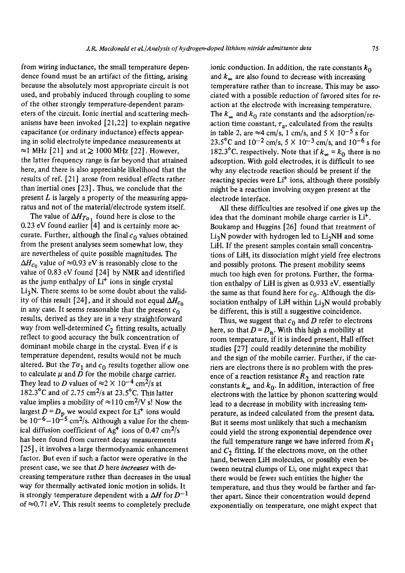from wiring inductance, the small temperature dependence found must be an artifact of the fitting, arising because the absolutely most appropriate circuit is not used, and probably induced through coupling to some of the other strongly temperature-dependent parameters of the circuit. Ionic inertial and scattering mechanisms have been invoked [21,22] to explain negative capacitance (or ordinary inductance) effects appearing in solid electrolyte impedance measurements at  $\approx$ 1 MHz [21] and at  $\geq$  1000 MHz [22]. However, the latter frequency range is far beyond that attained here, and there is also appreciable likelihood that the results of ref. [21] arose from residual effects rather than inertial ones [23]. Thus, we conclude that the present  $L$  is largely a property of the measuring apparatus and not of the material/electrode system itself.

The value of  $\Delta H_{T\sigma_1}$  found here is close to the 0.23 eV found earlier  $[4]$  and is certainly more accurate. Further, although the final  $c_0$  values obtained from the present analyses seem somewhat low, they are nevertheless of quite possible magnitudes. The  $\Delta H_{c_0}$  value of  $\approx 0.93$  eV is reasonably close to the value of 0.83 eV found [24] by NMR and identified as the jump enthalpy of  $Li<sup>+</sup>$  ions in single crystal  $Li<sub>3</sub>N$ . There seems to be some doubt about the validity of this result [24], and it should not equal  $\Delta H_{c_0}$ in any case. It seems reasonable that the present  $c_0$ results, derived as they are in a very straightforward way from well-determined  $C_2$  fitting results, actually reflect to good accuracy the bulk concentration of dominant mobile charge in the crystal. Even if  $\epsilon$  is temperature dependent, results would not be much altered. But the  $T\sigma_1$  and  $c_0$  results together allow one to calculate  $\mu$  and  $\bar{D}$  for the mobile charge carrier. They lead to D values of  $\approx$  2  $\times$  10<sup>-4</sup> cm<sup>2</sup>/s at 182.3 $^{\circ}$ C and of 2.75 cm<sup>2</sup>/s at 23.5 $^{\circ}$ C. This latter value implies a mobility of  $\approx$ 110 cm<sup>2</sup>/V s! Now the largest  $D = D_p$  we would expect for Li<sup>+</sup> ions would be  $10^{-6}-10^{-5}$  cm<sup>2</sup>/s. Although a value for the chemical diffusion coefficient of  $\text{Ag}^+$  ions of 0.47 cm<sup>2</sup>/s has been found from current decay measurements [25], it involves a large thermodynamic enhancement factor. But even if such a factor were operative in the present case, we see that D here *increases* with decreasing temperature rather than decreases in the usual way for thermally activated ionic motion in solids. It is strongly temperature dependent with a  $\Delta H$  for  $D^{-1}$ of  $\approx 0.71$  eV. This result seems to completely preclude

ionic conduction. In addition, the rate constants  $k_0$ and  $k_{\infty}$  are also found to decrease with increasing temperature rather than to increase. This may be associated with a possible reduction of favored sites for reaction at the electrode with increasing temperature. The  $k_{\infty}$  and  $k_0$  rate constants and the adsorption/reaction time constant,  $\tau_a$ , calculated from the results in table 2, are  $\approx$ 4 cm/s, 1 cm/s, and 5  $\times$  10<sup>-5</sup> s for 23.5°C and  $10^{-2}$  cm/s,  $5 \times 10^{-3}$  cm/s, and  $10^{-6}$  s for 182.3°C. respectively. Note that if  $k_{\infty} = k_0$  there is no adsorption. With gold electrodes, it is difficult to see why any electrode reaction should be present if the reacting species were  $Li<sup>+</sup>$  ions, although there possibly might be a reaction involving oxygen present at the electrode interface.

All these difficulties are resolved if one gives up the idea that the dominant mobile charge carrier is  $Li<sup>+</sup>$ . Boukamp and Huggins [26] found that treatment of  $Li<sub>3</sub>N$  powder with hydrogen led to  $Li<sub>2</sub>NH$  and some LiH. If the present samples contain small concentrations of LiH, its dissociation might yield free electrons and possibly protons. The present mobility seems much too high even for protons. Further, the formation enthalpy of LiH is given as 0.933 eV, essentially the same as that found here for  $c_0$ . Although the dissociation enthalpy of LiH within  $Li<sub>3</sub>N$  would probably be different, this is still a suggestive coincidence.

Thus, we suggest that  $c_0$  and D refer to electrons here, so that  $D = D_n$ . With this high a mobility at room temperature, if it is indeed present, Hall effect studies [27] could readily determine the mobility and the sign of the mobile carrier. Further, if the carriers are electrons there is no problem with the presence of a reaction resistance  $R_2$  and reaction rate constants  $k_{\infty}$  and  $k_{0}$ . In addition, interaction of free electrons with the lattice by phonon scattering would lead to a decrease in mobility with increasing temperature, as indeed calculated from the present data. But it seems most unlikely that such a mechanism could yield the strong exponential dependence over the full temperature range we have inferred from  $R_1$ and  $C_2$  fitting. If the electrons move, on the other hand, between LiH molecules, or possibly even between neutral clumps of Li, one might expect that there would be fewer such entities the higher the temperature, and thus they would be farther and farther apart. Since their concentration would depend exponentially on temperature, one might expect that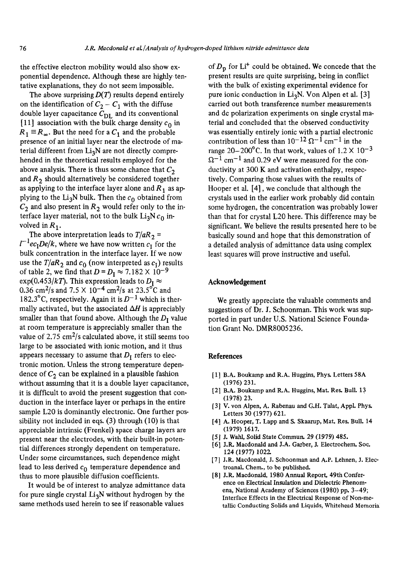the effective electron mobility would also show exponential dependence. Although these are highly tentative explanations, they do not seem impossible.

The above surprising  $D(T)$  results depend entirely on the identification of  $C_2 - C_1$  with the diffuse double layer capacitance  $C_{\text{DL}}$  and its conventional [11] association with the bulk charge density  $c_0$  in  $R_1 \equiv R_{\infty}$ . But the need for a  $C_1$  and the probable presence of an initial layer near the electrode of material different from  $Li<sub>3</sub>N$  are not directly comprehended in the theoretical results employed for the above analysis. There is thus some chance that  $C_2$ and  $R_2$  should alternatively be considered together as applying to the interface layer alone and  $R_1$  as applying to the Li<sub>3</sub>N bulk. Then the  $c_0$  obtained from  $C_2$  and also present in  $R_2$  would refer only to the interface layer material, not to the bulk  $Li<sub>3</sub>N c<sub>0</sub>$  involved in  $R_1$ .

The above interpretation leads to  $T/aR_2$  =  $l^{-1}ec_1De/k$ , where we have now written  $c_1$  for the bulk concentration in the interface layer. If we now use the  $T/aR_2$  and  $c_0$  (now interpreted as  $c_1$ ) results of table 2, we find that  $D = D_I \approx 7.182 \times 10^{-9}$ exp(0.453/kT). This expression leads to  $D_I \approx$ 0.36 cm<sup>2</sup>/s and 7.5  $\times$  10<sup>-4</sup> cm<sup>2</sup>/s at 23.5<sup>o</sup>C and 182.3°C, respectively. Again it is  $D^{-1}$  which is thermally activated, but the associated  $\Delta H$  is appreciably smaller than that found above. Although the  $D_I$  value at room temperature is appreciably smaller than the value of 2.75  $\text{cm}^2\text{/s}$  calculated above, it still seems too large to be associated with ionic motion, and it thus appears necessary to assume that  $D_I$  refers to electronic motion. Unless the strong temperature dependence of  $C_2$  can be explained in a plausible fashion without assuming that it is a double layer capacitance, it is difficult to avoid the present suggestion that conduction in the interface layer or perhaps in the entire sample L20 is dominantly electronic. One further possibility not included in eqs. (3) through (10) is that appreciable intrinsic (Frenkel) space charge layers are present near the electrodes, with their built-in potential differences strongly dependent on temperature. Under some circumstances, such dependence might lead to less derived  $c_0$  temperature dependence and thus to more plausible diffusion coefficients.

It would be of interest to analyze admittance data for pure single crystal  $Li<sub>3</sub>N$  without hydrogen by the same methods used herein to see if reasonable values

of  $D_p$  for Li<sup>+</sup> could be obtained. We concede that the present results are quite surprising, being in conflict with the bulk of existing experimental evidence for pure ionic conduction in Li<sub>3</sub>N. Von Alpen et al. [3] carried out both transference number measurements and de polarization experiments on single crystal material and concluded that the observed conductivity was essentially entirely ionic with a partial electronic contribution of less than  $10^{-12} \Omega^{-1}$  cm<sup>-1</sup> in the range 20-200°C. In that work, values of  $1.2 \times 10^{-3}$  $\Omega^{-1}$  cm<sup>-1</sup> and 0.29 eV were measured for the conductivity at 300 K and activation enthalpy, respectively. Comparing those values with the results of Hooper et al. [4], we conclude that although the crystals used in the earlier work probably did contain some hydrogen, the concentration was probably lower than that for crystal L20 here. This difference may be significant. We believe the results presented here to be basically sound and hope that this demonstration of a detailed analysis of admittance data using complex least squares will prove instructive and useful.

# **Acknowledgement**

We greatly appreciate the valuable comments and suggestions of Dr. J. Schoonman. This work was supported in part under U.S. National Science Foundation Grant No. DMR8005236.

# **References**

- [1] B.A. Boukamp and R.A. Huggins, Phys. Letters 58A (1976) 231.
- [2] B.A. Boukamp and R.A. Huggins, Mat. Res. Bull. 13 (1978) 23.
- [3] V. yon Alpen, A. Rabenau and G.H. Talat, Appl. Phys. Letters 30 (1977) 621.
- [4] A. Hooper, T. Lapp and S. Skaarup, Mat. Res. Bull. 14 (1979) 1617.
- [5] J. Wahl, Solid State Commun. 29 (1979) 485.
- [6] J.R. Macdonald and J.A. Garber, J. Electrochem. Soc. 124 (1977) 1022.
- [7] J.R. Macdonald, J. Schoonman and A.P. Lehnen, J. Electroanal. Chem., to be published.
- [8] J.R. Macdonald, 1980 Annual Report, 49th Conference on Electrical Insulation and Dielectric Phenomena, National Academy of Sciences (1980) pp. 3-49; Interface Effects in the Electrical Response of Non-metallic Conducting Solids and Liquids, Whitehead Memorial